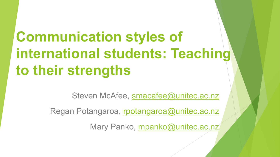# **Communication styles of international students: Teaching to their strengths**

Steven McAfee, smacafee@unitec.ac.nz

Regan Potangaroa, rpotangaroa@unitec.ac.nz

Mary Panko, mpanko@unitec.ac.nz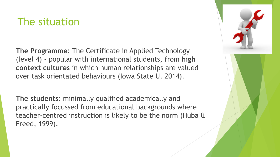#### The situation

**The Programme**: The Certificate in Applied Technology (level 4) - popular with international students, from **high context cultures** in which human relationships are valued over task orientated behaviours (Iowa State U. 2014).

**The students**: minimally qualified academically and practically focussed from educational backgrounds where teacher-centred instruction is likely to be the norm (Huba & Freed, 1999).

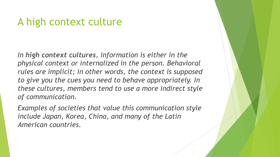#### A high context culture

*In high context cultures, information is either in the physical context or internalized in the person. Behavioral rules are implicit; in other words, the context is supposed to give you the cues you need to behave appropriately. In these cultures, members tend to use a more indirect style of communication.* 

*Examples of societies that value this communication style include Japan, Korea, China, and many of the Latin American countries.*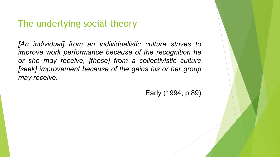#### The underlying social theory

*[An individual] from an individualistic culture strives to improve work performance because of the recognition he or she may receive, [those] from a collectivistic culture [seek] improvement because of the gains his or her group may receive.* 

Early (1994, p.89)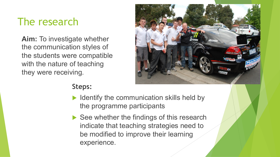# The research

**Aim:** To investigate whether the communication styles of the students were compatible with the nature of teaching they were receiving.



#### **Steps:**

- $\blacktriangleright$  Identify the communication skills held by the programme participants
- $\blacktriangleright$  See whether the findings of this research indicate that teaching strategies need to be modified to improve their learning experience.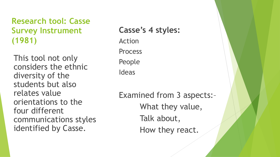#### **Research tool: Casse Survey Instrument (1981)**

This tool not only considers the ethnic diversity of the students but also relates value orientations to the four different communications styles identified by Casse.

#### **Casse's 4 styles:**

Action Process

People

Ideas

Examined from 3 aspects:– What they value, Talk about, How they react.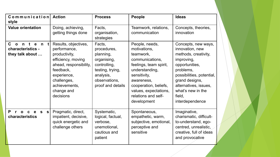| $C$ ommunication Action<br>style                                                                    |                                                                                                                                                                                              | <b>Process</b>                                                                                                                           | People                                                                                                                                                                                                                           | <b>Ideas</b>                                                                                                                                                                                                                          |
|-----------------------------------------------------------------------------------------------------|----------------------------------------------------------------------------------------------------------------------------------------------------------------------------------------------|------------------------------------------------------------------------------------------------------------------------------------------|----------------------------------------------------------------------------------------------------------------------------------------------------------------------------------------------------------------------------------|---------------------------------------------------------------------------------------------------------------------------------------------------------------------------------------------------------------------------------------|
| <b>Value orientation</b>                                                                            | Doing, achieving,<br>getting things done                                                                                                                                                     | Facts,<br>organisation,<br>strategies                                                                                                    | Teamwork, relations,<br>communication                                                                                                                                                                                            | Concepts, theories,<br>innovation                                                                                                                                                                                                     |
| C<br>on t<br>$\mathbf{e}$<br>$\mathsf{n}$<br>t l<br>characteristics -<br>they talk about            | Results, objectives,<br>performance,<br>productivity,<br>efficiency, moving<br>ahead, responsibility,<br>feedback,<br>experience,<br>challenges,<br>achievements,<br>change and<br>decisions | Facts,<br>procedures,<br>planning,<br>organising,<br>controlling,<br>testing, trying,<br>analysis,<br>observations,<br>proof and details | People, needs,<br>motivations,<br>teamwork,<br>communications,<br>feelings, team spirit,<br>understanding,<br>sensitivity,<br>awareness,<br>cooperation, beliefs,<br>values, expectations,<br>relations and self-<br>development | Concepts, new ways,<br>innovation, new<br>methods, creativity,<br>improving,<br>opportunities,<br>problems,<br>possibilities, potential,<br>grand designs,<br>alternatives, issues,<br>what's new in the<br>field,<br>interdependence |
| P<br>$\mathbf c$<br>$\mathbf{o}$<br>$\mathbf{s}$<br>$\mathbf{s}$<br>$\mathbf{e}$<br>characteristics | Pragmatic, direct,<br>impatient, decisive,<br>quick energetic and<br>challenge others                                                                                                        | Systematic,<br>logical, factual,<br>verbose,<br>unemotional,<br>cautious and<br>patient                                                  | Spontaneous,<br>empathetic, warm,<br>subjective, emotional,<br>perceptive and<br>sensitive                                                                                                                                       | Imaginative,<br>charismatic, difficult-<br>to-understand, ego-<br>centred, unrealistic,<br>creative, full of ideas<br>and provocative                                                                                                 |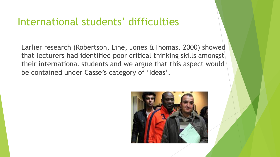#### International students' difficulties

Earlier research (Robertson, Line, Jones &Thomas, 2000) showed that lecturers had identified poor critical thinking skills amongst their international students and we argue that this aspect would be contained under Casse's category of 'Ideas'.

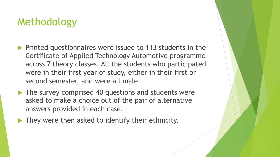# Methodology

- $\blacktriangleright$  Printed questionnaires were issued to 113 students in the Certificate of Applied Technology Automotive programme across 7 theory classes. All the students who participated were in their first year of study, either in their first or second semester, and were all male.
- $\blacktriangleright$  The survey comprised 40 questions and students were asked to make a choice out of the pair of alternative answers provided in each case.
- $\blacktriangleright$  They were then asked to identify their ethnicity.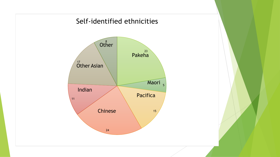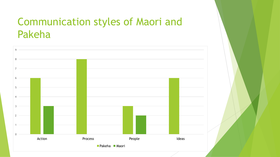## Communication styles of Maori and Pakeha

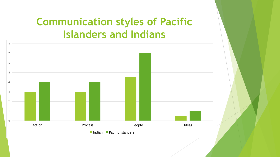# **Communication styles of Pacific Islanders and Indians**

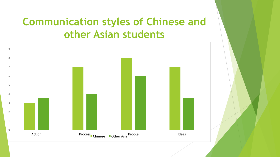# **Communication styles of Chinese and other Asian students**

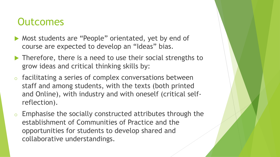#### **Outcomes**

- Most students are "People" orientated, yet by end of course are expected to develop an "Ideas" bias.
- $\blacktriangleright$  Therefore, there is a need to use their social strengths to grow ideas and critical thinking skills by:
- $\circ$  facilitating a series of complex conversations between staff and among students, with the texts (both printed and Online), with industry and with oneself (critical selfreflection).
- Emphasise the socially constructed attributes through the establishment of Communities of Practice and the opportunities for students to develop shared and collaborative understandings.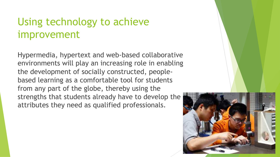## Using technology to achieve improvement

Hypermedia, hypertext and web-based collaborative environments will play an increasing role in enabling the development of socially constructed, peoplebased learning as a comfortable tool for students from any part of the globe, thereby using the strengths that students already have to develop the attributes they need as qualified professionals.

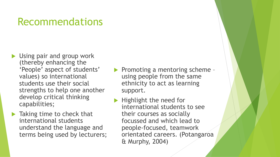#### Recommendations

- $\blacktriangleright$  Using pair and group work (thereby enhancing the 'People' aspect of students' values) so international students use their social strengths to help one another develop critical thinking capabilities;
- $\blacktriangleright$  Taking time to check that international students understand the language and terms being used by lecturers;
- $\blacktriangleright$  Promoting a mentoring scheme using people from the same ethnicity to act as learning support.
- Highlight the need for international students to see their courses as socially focussed and which lead to people-focused, teamwork orientated careers. (Potangaroa & Murphy, 2004)